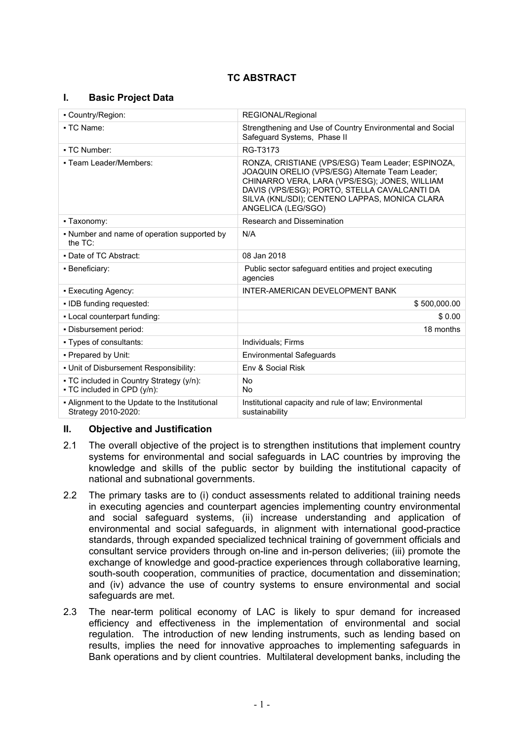# **TC ABSTRACT**

### **I. Basic Project Data**

| • Country/Region:                                                       | REGIONAL/Regional                                                                                                                                                                                                                                                            |  |
|-------------------------------------------------------------------------|------------------------------------------------------------------------------------------------------------------------------------------------------------------------------------------------------------------------------------------------------------------------------|--|
| • TC Name:                                                              | Strengthening and Use of Country Environmental and Social<br>Safeguard Systems, Phase II                                                                                                                                                                                     |  |
| • TC Number:                                                            | RG-T3173                                                                                                                                                                                                                                                                     |  |
| • Team Leader/Members:                                                  | RONZA, CRISTIANE (VPS/ESG) Team Leader; ESPINOZA,<br>JOAQUIN ORELIO (VPS/ESG) Alternate Team Leader;<br>CHINARRO VERA, LARA (VPS/ESG); JONES, WILLIAM<br>DAVIS (VPS/ESG); PORTO, STELLA CAVALCANTI DA<br>SILVA (KNL/SDI); CENTENO LAPPAS, MONICA CLARA<br>ANGELICA (LEG/SGO) |  |
| - Taxonomy:                                                             | Research and Dissemination                                                                                                                                                                                                                                                   |  |
| • Number and name of operation supported by<br>the TC:                  | N/A                                                                                                                                                                                                                                                                          |  |
| • Date of TC Abstract:                                                  | 08 Jan 2018                                                                                                                                                                                                                                                                  |  |
| • Beneficiary:                                                          | Public sector safeguard entities and project executing<br>agencies                                                                                                                                                                                                           |  |
| • Executing Agency:                                                     | INTER-AMERICAN DEVELOPMENT BANK                                                                                                                                                                                                                                              |  |
| . IDB funding requested:                                                | \$500,000.00                                                                                                                                                                                                                                                                 |  |
| - Local counterpart funding:                                            | \$0.00                                                                                                                                                                                                                                                                       |  |
| - Disbursement period:                                                  | 18 months                                                                                                                                                                                                                                                                    |  |
| • Types of consultants:                                                 | Individuals; Firms                                                                                                                                                                                                                                                           |  |
| - Prepared by Unit:                                                     | <b>Environmental Safeguards</b>                                                                                                                                                                                                                                              |  |
| . Unit of Disbursement Responsibility:                                  | Env & Social Risk                                                                                                                                                                                                                                                            |  |
| • TC included in Country Strategy (y/n):<br>• TC included in CPD (y/n): | <b>No</b><br>No                                                                                                                                                                                                                                                              |  |
| - Alignment to the Update to the Institutional<br>Strategy 2010-2020:   | Institutional capacity and rule of law; Environmental<br>sustainability                                                                                                                                                                                                      |  |

### **II. Objective and Justification**

- 2.1 The overall objective of the project is to strengthen institutions that implement country systems for environmental and social safeguards in LAC countries by improving the knowledge and skills of the public sector by building the institutional capacity of national and subnational governments.
- 2.2 The primary tasks are to (i) conduct assessments related to additional training needs in executing agencies and counterpart agencies implementing country environmental and social safeguard systems, (ii) increase understanding and application of environmental and social safeguards, in alignment with international good-practice standards, through expanded specialized technical training of government officials and consultant service providers through on-line and in-person deliveries; (iii) promote the exchange of knowledge and good-practice experiences through collaborative learning, south-south cooperation, communities of practice, documentation and dissemination; and (iv) advance the use of country systems to ensure environmental and social safeguards are met.
- 2.3 The near-term political economy of LAC is likely to spur demand for increased efficiency and effectiveness in the implementation of environmental and social regulation. The introduction of new lending instruments, such as lending based on results, implies the need for innovative approaches to implementing safeguards in Bank operations and by client countries. Multilateral development banks, including the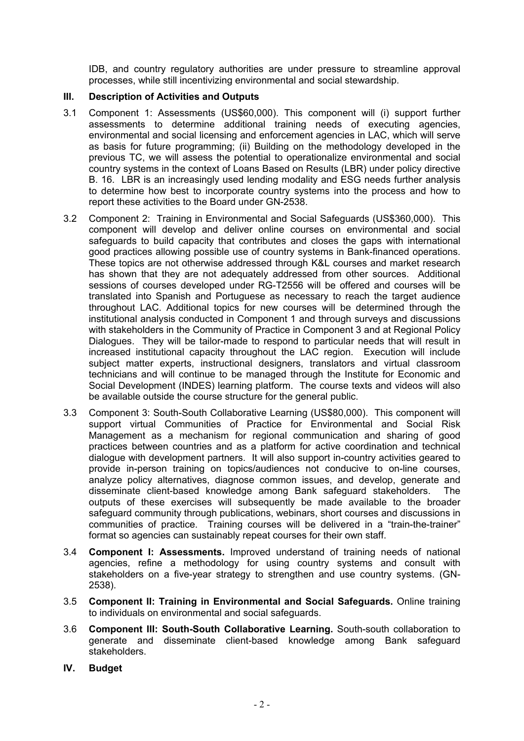IDB, and country regulatory authorities are under pressure to streamline approval processes, while still incentivizing environmental and social stewardship.

## **III. Description of Activities and Outputs**

- 3.1 Component 1: Assessments (US\$60,000). This component will (i) support further assessments to determine additional training needs of executing agencies, environmental and social licensing and enforcement agencies in LAC, which will serve as basis for future programming; (ii) Building on the methodology developed in the previous TC, we will assess the potential to operationalize environmental and social country systems in the context of Loans Based on Results (LBR) under policy directive B. 16. LBR is an increasingly used lending modality and ESG needs further analysis to determine how best to incorporate country systems into the process and how to report these activities to the Board under GN-2538.
- 3.2 Component 2: Training in Environmental and Social Safeguards (US\$360,000). This component will develop and deliver online courses on environmental and social safeguards to build capacity that contributes and closes the gaps with international good practices allowing possible use of country systems in Bank-financed operations. These topics are not otherwise addressed through K&L courses and market research has shown that they are not adequately addressed from other sources. Additional sessions of courses developed under RG-T2556 will be offered and courses will be translated into Spanish and Portuguese as necessary to reach the target audience throughout LAC. Additional topics for new courses will be determined through the institutional analysis conducted in Component 1 and through surveys and discussions with stakeholders in the Community of Practice in Component 3 and at Regional Policy Dialogues. They will be tailor-made to respond to particular needs that will result in increased institutional capacity throughout the LAC region. Execution will include subject matter experts, instructional designers, translators and virtual classroom technicians and will continue to be managed through the Institute for Economic and Social Development (INDES) learning platform. The course texts and videos will also be available outside the course structure for the general public.
- 3.3 Component 3: South-South Collaborative Learning (US\$80,000). This component will support virtual Communities of Practice for Environmental and Social Risk Management as a mechanism for regional communication and sharing of good practices between countries and as a platform for active coordination and technical dialogue with development partners. It will also support in-country activities geared to provide in-person training on topics/audiences not conducive to on-line courses, analyze policy alternatives, diagnose common issues, and develop, generate and disseminate client-based knowledge among Bank safeguard stakeholders. The outputs of these exercises will subsequently be made available to the broader safeguard community through publications, webinars, short courses and discussions in communities of practice. Training courses will be delivered in a "train-the-trainer" format so agencies can sustainably repeat courses for their own staff.
- 3.4 **Component I: Assessments.** Improved understand of training needs of national agencies, refine a methodology for using country systems and consult with stakeholders on a five-year strategy to strengthen and use country systems. (GN-2538).
- 3.5 **Component II: Training in Environmental and Social Safeguards.** Online training to individuals on environmental and social safeguards.
- 3.6 **Component III: South-South Collaborative Learning.** South-south collaboration to generate and disseminate client-based knowledge among Bank safeguard stakeholders.
- **IV. Budget**